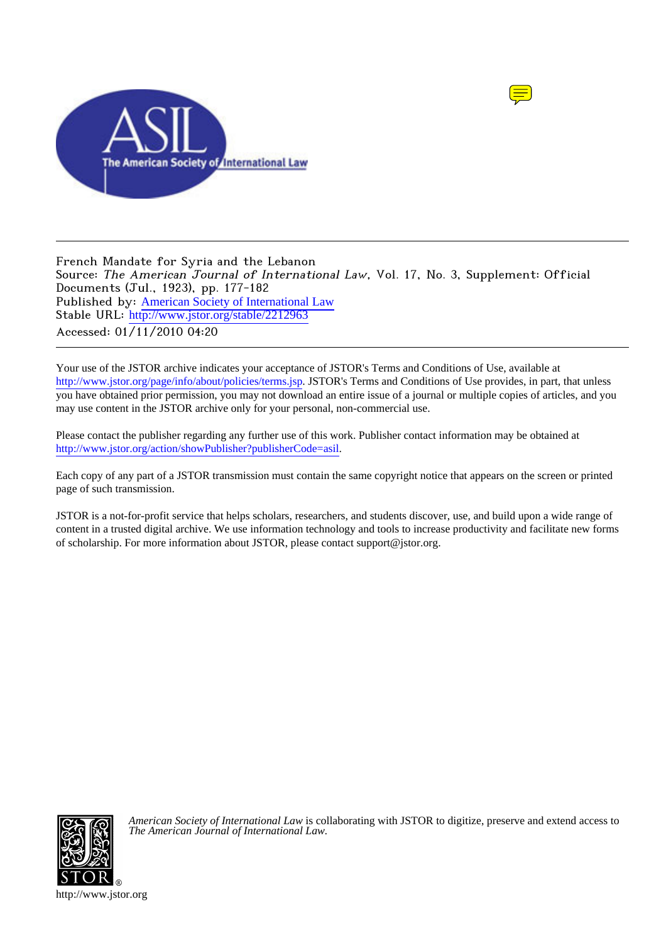

# French Mandate for Syria and the Lebanon Source: The American Journal of International Law, Vol. 17, No. 3, Supplement: Official Documents (Jul., 1923), pp. 177-182 Published by: [American Society of International Law](http://www.jstor.org/action/showPublisher?publisherCode=asil) Stable URL: [http://www.jstor.org/stable/2212963](http://www.jstor.org/stable/2212963?origin=JSTOR-pdf) Accessed: 01/11/2010 04:20

Your use of the JSTOR archive indicates your acceptance of JSTOR's Terms and Conditions of Use, available at <http://www.jstor.org/page/info/about/policies/terms.jsp>. JSTOR's Terms and Conditions of Use provides, in part, that unless you have obtained prior permission, you may not download an entire issue of a journal or multiple copies of articles, and you may use content in the JSTOR archive only for your personal, non-commercial use.

Please contact the publisher regarding any further use of this work. Publisher contact information may be obtained at [http://www.jstor.org/action/showPublisher?publisherCode=asil.](http://www.jstor.org/action/showPublisher?publisherCode=asil)

Each copy of any part of a JSTOR transmission must contain the same copyright notice that appears on the screen or printed page of such transmission.

JSTOR is a not-for-profit service that helps scholars, researchers, and students discover, use, and build upon a wide range of content in a trusted digital archive. We use information technology and tools to increase productivity and facilitate new forms of scholarship. For more information about JSTOR, please contact support@jstor.org.



*American Society of International Law* is collaborating with JSTOR to digitize, preserve and extend access to *The American Journal of International Law.*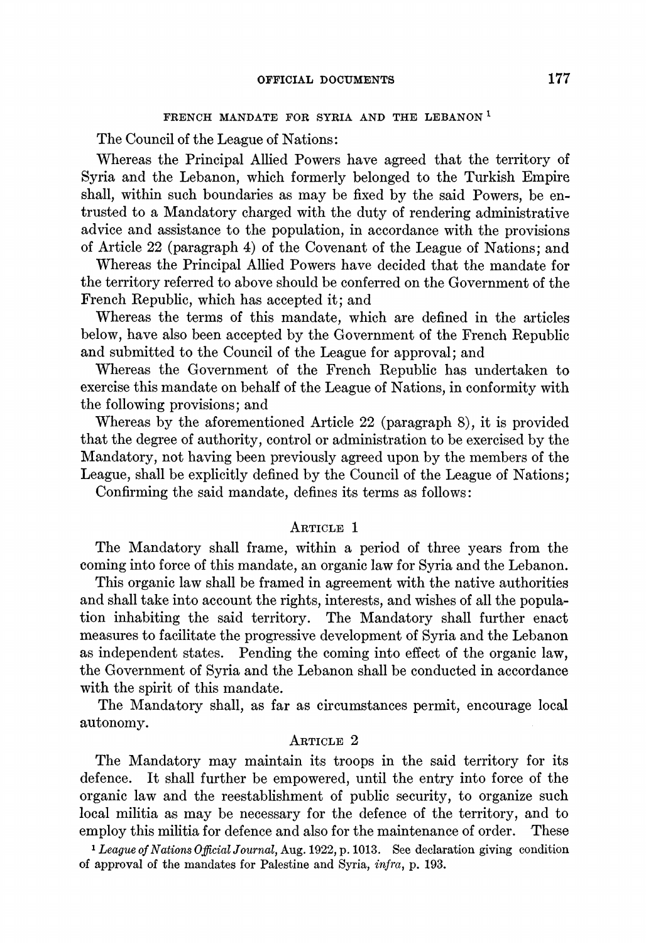## FRENCH MANDATE FOR SYRIA AND THE LEBANON<sup>1</sup>

The Council of the League of Nations:

Whereas the Principal Allied Powers have agreed that the territory of Syria and the Lebanon, which formerly belonged to the Turkish Empire shall, within such boundaries as may be fixed by the said Powers, be entrusted to a Mandatory charged with the duty of rendering administrative advice and assistance to the population, in accordance with the provisions of Article 22 (paragraph 4) of the Covenant of the League of Nations; and

Whereas the Principal Allied Powers have decided that the mandate for the territory referred to above should be conferred on the Government of the French Republic, which has accepted it; and

Whereas the terms of this mandate, which are defined in the articles below, have also been accepted by the Government of the French Republic and submitted to the Council of the League for approval; and

Whereas the Government of the French Republic has undertaken to exercise this mandate on behalf of the League of Nations, in conformity with the following provisions; and

Whereas by the aforementioned Article 22 (paragraph 8), it is provided that the degree of authority, control or administration to be exercised by the Mandatory, not having been previously agreed upon by the members of the League, shall be explicitly defined by the Council of the League of Nations;

Confirming the said mandate, defines its terms as follows:

## ARTICLE 1

The Mandatory shall frame, within a period of three years from the coming into force of this mandate, an organic law for Syria and the Lebanon.

This organic law shall be framed in agreement with the native authorities and shall take into account the rights, interests, and wishes of all the population inhabiting the said territory. The Mandatory shall further enact measures to facilitate the progressive development of Syria and the Lebanon as independent states. Pending the coming into effect of the organic law, the Government of Syria and the Lebanon shall be conducted in accordance with the spirit of this mandate.

The Mandatory shall, as far as circumstances permit, encourage local autonomy.

## ARTICLE 2

The Mandatory may maintain its troops in the said territory for its defence. It shall further be empowered, until the entry into force of the organic law and the reestablishment of public security, to organize such local militia as may be necessary for the defence of the territory, and to employ this militia for defence and also for the maintenance of order. These

<sup>1</sup> League of Nations Official Journal, Aug. 1922, p. 1013. See declaration giving condition of approval of the mandates for Palestine and Syria, infra, p. 193.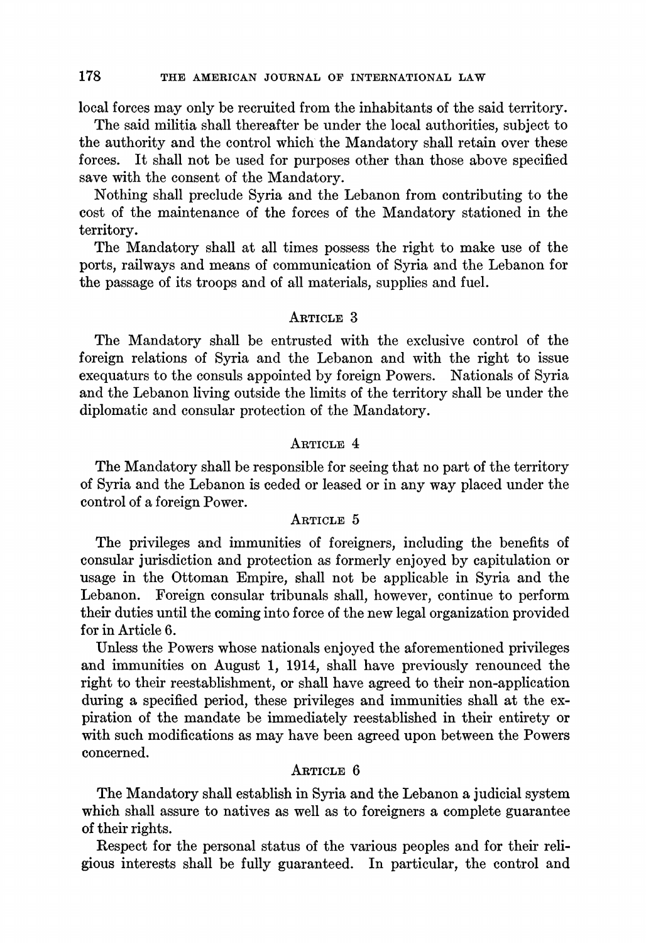local forces may only be recruited from the inhabitants of the said territory.

The said militia shall thereafter be under the local authorities, subject to the authority and the control which the Mandatory shall retain over these forces. It shall not be used for purposes other than those above specified save with the consent of the Mandatory.

Nothing shall preclude Syria and the Lebanon from contributing to the cost of the maintenance of the forces of the Mandatory stationed in the territory.

The Mandatory shall at all times possess the right to make use of the ports, railways and means of communication of Syria and the Lebanon for the passage of its troops and of all materials, supplies and fuel.

## ARTICLE 3

The Mandatory shall be entrusted with the exclusive control of the foreign relations of Syria and the Lebanon and with the right to issue exequaturs to the consuls appointed by foreign Powers. Nationals of Syria and the Lebanon living outside the limits of the territory shall be under the diplomatic and consular protection of the Mandatory.

## ARTICLE 4

The Mandatory shall be responsible for seeing that no part of the territory of Syria and the Lebanon is ceded or leased or in any way placed under the control of a foreign Power.

## ARTICLE 5

The privileges and immunities of foreigners, including the benefits of consular jurisdiction and protection as formerly enjoyed by capitulation or usage in the Ottoman Empire, shall not be applicable in Syria and the Lebanon. Foreign consular tribunals shall, however, continue to perform their duties until the coming into force of the new legal organization provided for in Article 6.

Unless the Powers whose nationals enjoyed the aforementioned privileges and immunities on August 1, 1914, shall have previously renounced the right to their reestablishment, or shall have agreed to their non-application during a specified period, these privileges and immunities shall at the expiration of the mandate be immediately reestablished in their entirety or with such modifications as may have been agreed upon between the Powers concerned.

## ARTICLE 6

The Mandatory shall establish in Syria and the Lebanon a judicial system which shall assure to natives as well as to foreigners a complete guarantee of their rights.

Respect for the personal status of the various peoples and for their religious interests shall be fully guaranteed. In particular, the control and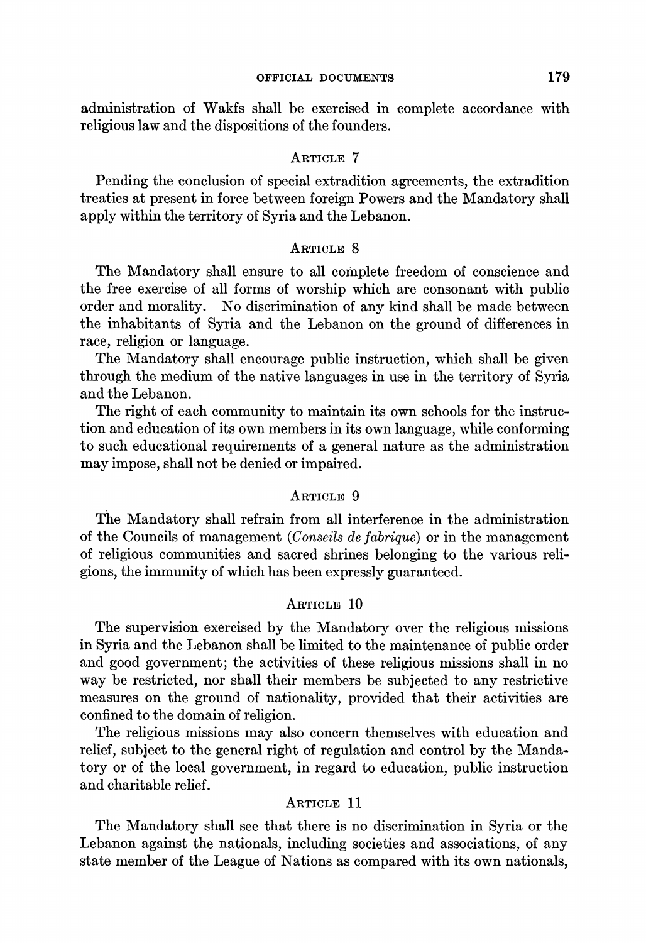administration of Wakfs shall be exercised in complete accordance with religious law and the dispositions of the founders.

#### ARTICLE 7

Pending the conclusion of special extradition agreements, the extradition treaties at present in force between foreign Powers and the Mandatory shall apply within the territory of Syria and the Lebanon.

## ARTICLE 8

The Mandatory shall ensure to all complete freedom of conscience and the free exercise of all forms of worship which are consonant with public order and morality. No discrimination of any kind shall be made between the inhabitants of Syria and the Lebanon on the ground of differences in race, religion or language.

The Mandatory shall encourage public instruction, which shall be given through the medium of the native languages in use in the territory of Syria and the Lebanon.

The right of each community to maintain its own schools for the instruction and education of its own members in its own language, while conforming to such educational requirements of a general nature as the administration may impose, shall not be denied or impaired.

## ARTICLE 9

The Mandatory shall refrain from all interference in the administration of the Councils of management (Conseils de fabrique) or in the management of religious communities and sacred shrines belonging to the various religions, the immunity of which has been expressly guaranteed.

## ARTICLE 10

The supervision exercised by the Mandatory over the religious missions in Syria and the Lebanon shall be limited to the maintenance of public order and good government; the activities of these religious missions shall in no way be restricted, nor shall their members be subjected to any restrictive measures on the ground of nationality, provided that their activities are confined to the domain of religion.

The religious missions may also concern themselves with education and relief, subject to the general right of regulation and control by the Mandatory or of the local government, in regard to education, public instruction and charitable relief.

#### ARTICLE 11

The Mandatory shall see that there is no discrimination in Syria or the Lebanon against the nationals, including societies and associations, of any state member of the League of Nations as compared with its own nationals,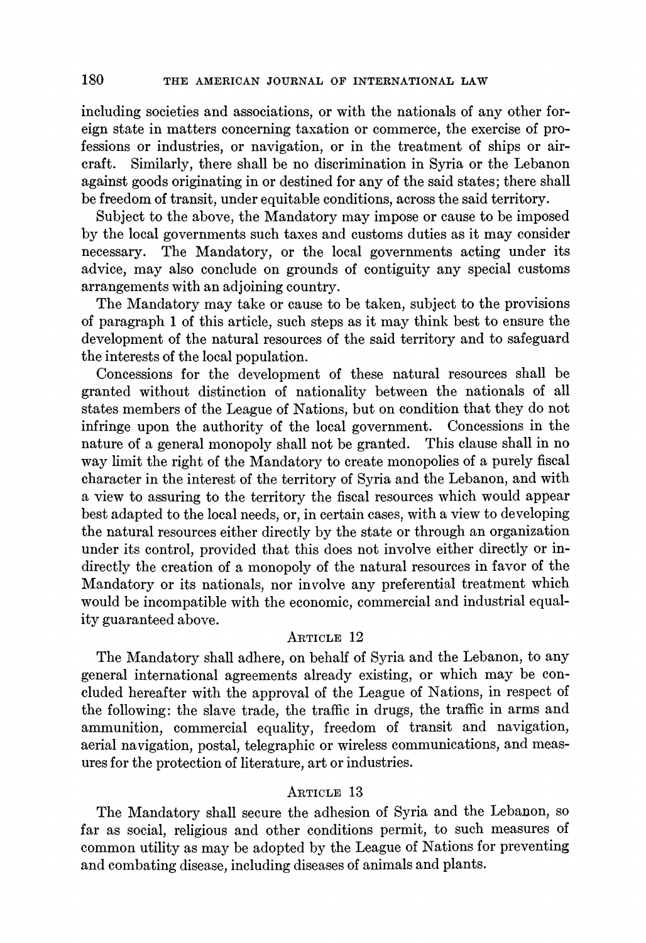including societies and associations, or with the nationals of any other foreign state in matters concerning taxation or commerce, the exercise of professions or industries, or navigation, or in the treatment of ships or aircraft. Similarly, there shall be no discrimination in Syria or the Lebanon against goods originating in or destined for any of the said states; there shall be freedom of transit, under equitable conditions, across the said territory.

Subject to the above, the Mandatory may impose or cause to be imposed by the local governments such taxes and customs duties as it may consider necessary. The Mandatory, or the local governments acting under its advice, may also conclude on grounds of contiguity any special customs arrangements with an adjoining country.

The Mandatory may take or cause to be taken, subject to the provisions of paragraph 1 of this article, such steps as it may think best to ensure the development of the natural resources of the said territory and to safeguard the interests of the local population.

Concessions for the development of these natural resources shall be granted without distinction of nationality between the nationals of all states members of the League of Nations, but on condition that they do not infringe upon the authority of the local government. Concessions in the nature of a general monopoly shall not be granted. This clause shall in no way limit the right of the Mandatory to create monopolies of a purely fiscal character in the interest of the territory of Syria and the Lebanon, and with a view to assuring to the territory the fiscal resources which would appear best adapted to the local needs, or, in certain cases, with a view to developing the natural resources either directly by the state or through an organization under its control, provided that this does not involve either directly or indirectly the creation of a monopoly of the natural resources in favor of the Mandatory or its nationals, nor involve any preferential treatment which would be incompatible with the economic, commercial and industrial equality guaranteed above.

## ARTICLE 12

The Mandatory shall adhere, on behalf of Syria and the Lebanon, to any general international agreements already existing, or which may be concluded hereafter with the approval of the League of Nations, in respect of the following: the slave trade, the traffic in drugs, the traffic in arms and ammunition, commercial equality, freedom of transit and navigation, aerial navigation, postal, telegraphic or wireless communications, and measures for the protection of literature, art or industries.

## ARTICLE 13

The Mandatory shall secure the adhesion of Syria and the Lebanon, so far as social, religious and other conditions permit, to such measures of common utility as may be adopted by the League of Nations for preventing and combating disease, including diseases of animals and plants.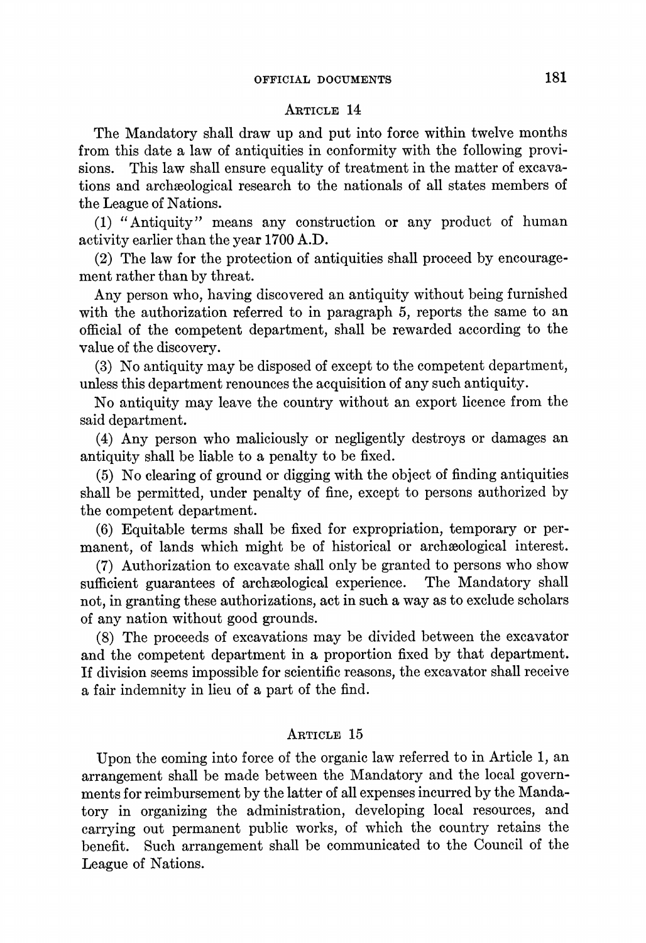## OFFICIAL DOCUMENTS 181

#### ARTICLE 14

The Mandatory shall draw up and put into force within twelve months from this date a law of antiquities in conformity with the following provisions. This law shall ensure equality of treatment in the matter of excavations and archaeological research to the nationals of all states members of the League of Nations.

(1) "Antiquity" means any construction or any product of human activity earlier than the year 1700 A.D.

 $(2)$  The law for the protection of antiquities shall proceed by encouragement rather than by threat.

Any person who, having discovered an antiquity without being furnished with the authorization referred to in paragraph 5, reports the same to an official of the competent department, shall be rewarded according to the value of the discovery.

(3) No antiquity may be disposed of except to the competent department, unless this department renounces the acquisition of any such antiquity.

No antiquity may leave the country without an export licence from the said department.

(4) Any person who maliciously or negligently destroys or damages an antiquity shall be liable to a penalty to be fixed.

(5) No clearing of ground or digging with the object of finding antiquities shall be permitted, under penalty of fine, except to persons authorized by the competent department.

(6) Equitable terms shall be fixed for expropriation, temporary or permanent, of lands which might be of historical or archaeological interest.

(7) Authorization to excavate shall only be granted to persons who show sufficient guarantees of archaeological experience. not, in granting these authorizations, act in such a way as to exclude scholars of any nation without good grounds.

(8) The proceeds of excavations may be divided between the excavator and the competent department in a proportion fixed by that department. If division seems impossible for scientific reasons, the excavator shall receive a fair indemnity in lieu of a part of the find.

## ARTICLE 15

Upon the coming into force of the organic law referred to in Article 1, an arrangement shall be made between the Mandatory and the local governments for reimbursement by the latter of all expenses incurred by the Mandatory in organizing the administration, developing local resources, and carrying out permanent public works, of which the country retains the benefit. Such arrangement shall be communicated to the Council of the League of Nations.